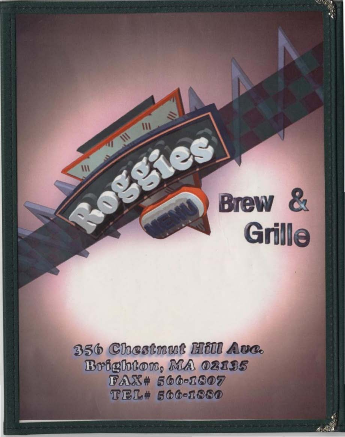

356 Chestnut Hill Ave. Brighton, MA 02195  $FAX#566-1807$ **TEL# 566-1880**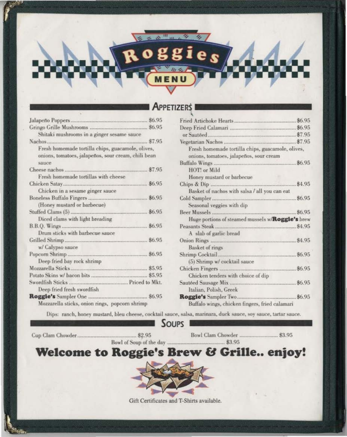# **APPETIZERS**

 $\frac{10}{10}$  m

oggies

 $n >$ 

| Shitaki mushrooms in a ginger sesame sauce                                                               |
|----------------------------------------------------------------------------------------------------------|
|                                                                                                          |
| Fresh homemade tortilla chips, guacamole, olives,<br>onions, tomatoes, jalapeños, sour cream, chili bean |
| sauce                                                                                                    |
| \$7.95<br>Cheese nachos                                                                                  |
| Fresh homemade tortillas with cheese                                                                     |
| \$6.95                                                                                                   |
| Chicken in a sesame ginger sauce                                                                         |
| \$6.95                                                                                                   |
| (Honey mustard or barbecue)                                                                              |
|                                                                                                          |
| Diced clams with light breading                                                                          |
|                                                                                                          |
| Drum sticks with barbecue sauce                                                                          |
|                                                                                                          |
| w/ Calypso sauce                                                                                         |
|                                                                                                          |
| Deep fried bay rock shrimp                                                                               |
|                                                                                                          |
|                                                                                                          |
|                                                                                                          |
| Deep fried fresh swordfish                                                                               |
| \$6.95                                                                                                   |
| Mozzarella sticks, onion rings, popcorn shrimp                                                           |

| Fresh homemade tortilla chips, guacamole, olives,         |        |
|-----------------------------------------------------------|--------|
| onions, tomatoes, jalapeños, sour cream                   |        |
|                                                           | \$6.95 |
| HOT! or Mild                                              |        |
| Honey mustard or barbecue                                 |        |
|                                                           |        |
| Basket of nachos with salsa / all you can eat             |        |
|                                                           | \$6.95 |
| Seasonal veggies with dip                                 |        |
|                                                           | \$6.95 |
| Huge portions of steamed mussels w/Roggie's brew          |        |
|                                                           |        |
| A slab of garlic bread                                    |        |
|                                                           |        |
| Basket of rings                                           |        |
|                                                           | \$6.95 |
| (5) Shrimp w/ cocktail sauce                              |        |
|                                                           | \$6.95 |
| Chicken tenders with choice of dip                        |        |
|                                                           |        |
| Italian, Polish, Greek                                    |        |
| Roggie's Sampler Two<br>,,,,,,,,,,,,,,,,,,,,,,,,,,,,,,,,, | \$6.95 |
| Buffalo wings, chicken fingers, fried calamari            |        |

Dips: ranch, honey mustard, bleu cheese, cocktail sauce, salsa, marinara, duck sauce, soy sauce, tartar sauce.





Bowl Clam Chowder ................................ \$3.95

Welcome to Roggie's Brew & Grille.. enjoy!



Gift Certificates and T-Shirts available.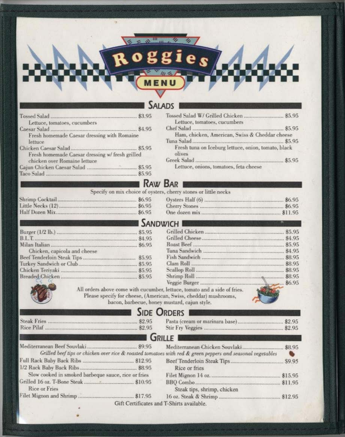# **SALADS**

**MENU** 

R O

ies

| Lettuce, tomatoes, cucumbers                    |  |
|-------------------------------------------------|--|
|                                                 |  |
| Fresh homemade Caesar dressing with Romaine     |  |
| lettuce                                         |  |
|                                                 |  |
| Fresh homemade Caesar dressing w/ fresh grilled |  |
| chicken over Romaine lettuce                    |  |
|                                                 |  |
|                                                 |  |
|                                                 |  |

| Tossed Salad W/ Grilled Chicken  \$5.95<br>Lettuce, tomatoes, cucumbers |  |
|-------------------------------------------------------------------------|--|
|                                                                         |  |
| Ham, chicken, American, Swiss & Cheddar cheese                          |  |
|                                                                         |  |
| Fresh tuna on Iceburg lettuce, onion, tomato, black<br>olives           |  |
|                                                                         |  |
| Lettuce, onions, tomatoes, feta cheese                                  |  |

# RAW BAR I

## Specify on mix choice of oysters, cherry stones or little necks

| Shrimp Cocktail   | \$6.95 |
|-------------------|--------|
| Little Necks (12) | \$6.95 |
| Half Dozen Mix    | \$6.95 |

| \$6.95  |
|---------|
| \$6.95  |
| \$11.95 |

# **SANDWICH I**

|                              |        | Grilled Chicken<br>Grilled Cheese |
|------------------------------|--------|-----------------------------------|
|                              |        |                                   |
| Chicken, capicola and cheese | \$6.95 | Roast Beef<br>Tuna Sandwich       |
|                              | \$5,95 | Fish Sandwich                     |
|                              |        | Clam Roll                         |
|                              |        | Scallop Roll                      |
|                              |        | Shrimp Roll                       |

| \$5.95                                                                                                                                                                                                                                                                |
|-----------------------------------------------------------------------------------------------------------------------------------------------------------------------------------------------------------------------------------------------------------------------|
| \$4.95                                                                                                                                                                                                                                                                |
| \$5,95                                                                                                                                                                                                                                                                |
| \$4.95                                                                                                                                                                                                                                                                |
| \$8.95                                                                                                                                                                                                                                                                |
| \$8.95                                                                                                                                                                                                                                                                |
| \$8.95                                                                                                                                                                                                                                                                |
| \$8.95                                                                                                                                                                                                                                                                |
| .86.95                                                                                                                                                                                                                                                                |
|                                                                                                                                                                                                                                                                       |
|                                                                                                                                                                                                                                                                       |
|                                                                                                                                                                                                                                                                       |
| . \$5.95<br>\$4.95<br>\$6.95<br>\$5.95<br>\$5.95<br>\$5.95<br>\$5.95<br>All orders above come with cucumber, lettuce, tomato and a side of fries.<br>Please specify for cheese, (American, Swiss, cheddar) mushrooms,<br>bacon, barbecue, honey mustard, cajun style. |

# **SIDE ORDERS I**

|  | Pa  |
|--|-----|
|  | Sti |

| $$ \$2.95 |
|-----------|

# GRILLE

| Grilled beef tips or chicken over rice & roasted tomatoes with red & green peppers and seasonal vegetables | e.                                        |
|------------------------------------------------------------------------------------------------------------|-------------------------------------------|
|                                                                                                            |                                           |
|                                                                                                            | Rice or fries                             |
| Slow cooked in smoked barbeque sauce, rice or fries                                                        |                                           |
| Rice or Fries                                                                                              | Steak tips, shrimp, chicken               |
|                                                                                                            |                                           |
|                                                                                                            | Gift Certificates and T-Shirts available. |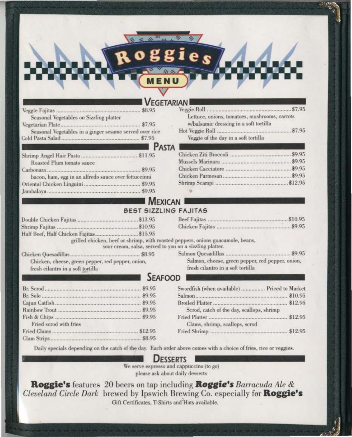## EGETARIAN

|                                                         | \$8.95 |
|---------------------------------------------------------|--------|
| Seasonal Vegetables on Sizzling platter                 |        |
|                                                         |        |
| Seasonal Vegetables in a ginger sesame served over rice |        |
|                                                         |        |
|                                                         |        |

| Roasted Plum tomato sauce                            |  |
|------------------------------------------------------|--|
|                                                      |  |
| bacon, ham, egg in an alfredo sauce over fettuccinni |  |
|                                                      |  |
|                                                      |  |

| Lettuce, onions, tomatoes, mushrooms, carrots |  |
|-----------------------------------------------|--|
| w/balsamic dressing in a soft tortilla        |  |
|                                               |  |
| Veggie of the day in a soft tortilla          |  |

## **ASTA**

| [일본] 아이는 아이들은 아이들은 아이들이 아이들이 아이들이 아이들이 아이들이 없었다. |  |
|--------------------------------------------------|--|
|                                                  |  |

## **MEXICAN BEST SIZZLING FAJITAS**

grilled chicken, beef or shrimp, with roasted peppers, onions guacamole, beans,

sour cream, salsa, served to you on a sizzling platter.

Chicken, cheese, green pepper, red pepper, onion, fresh cilantro in a soft tortilla

Salmon, cheese, green pepper, red pepper, onion, fresh cilantro in a soft tortilla

## **SEAFOOD**

| 2012년 1월 20일 1월 20일 1월 20일 1월 20일 1월 20일 1월 20일 1월 20일 1월 20일 1월 20일 1월 20일 1월 20일 1월 20일 1월 20일 1월 20일 1월 20일 |  |
|----------------------------------------------------------------------------------------------------------------|--|
|                                                                                                                |  |
|                                                                                                                |  |
|                                                                                                                |  |
| Fried scrod with fries                                                                                         |  |
|                                                                                                                |  |
| a também para propinsi para la parte de la parte de la parte de la parte de la parte de la parte de            |  |

| Swordfish (when available)  Priced to Market |  |
|----------------------------------------------|--|
|                                              |  |
|                                              |  |
| Scrod, catch of the day, scallops, shrimp    |  |
|                                              |  |
| Clams, shrimp, scallops, scrod               |  |
|                                              |  |

Daily specials depending on the catch of the day. Each order above comes with a choice of fries, rice or veggies.

## **DESSERTS**

We serve espresso and cappuccino (to go) please ask about daily desserts

Roggie's features 20 beers on tap including Roggie's Barracuda Ale & Cleveland Circle Dark brewed by Ipswich Brewing Co. especially for Roggie's Gift Certificates, T-Shirts and Hats available.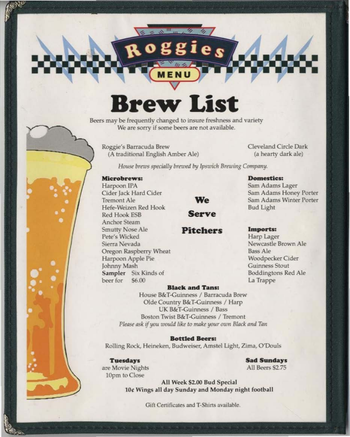# **Brew List**

Beers may be frequently changed to insure freshness and variety We are sorry if some beers are not available.

Roggie's Barracuda Brew (A traditional English Amber Ale) Cleveland Circle Dark (a hearty dark ale)

House brews specially brewed by Ipswich Brewing Company.

ggies

## Microbrews:

Harpoon IPA Cider Jack Hard Cider Tremont Ale Hefe-Weizen Red Hook Red Hook ESB **Anchor Steam** Smutty Nose Ale Pete's Wicked Sierra Nevada Oregon Raspberry Wheat Harpoon Apple Pie Johnny Mash Sampler Six Kinds of beer for \$6.00

We

**Serve** 

**Pitchers** 

## **Domestics:**

Sam Adams Lager Sam Adams Honey Porter Sam Adams Winter Porter **Bud Light** 

#### Imports:

Harp Lager Newcastle Brown Ale **Bass Ale** Woodpecker Cider Guinness Stout **Boddingtons Red Ale** La Trappe

#### **Black and Tans:**

House B&T-Guinness / Barracuda Brew Olde Country B&T-Guinness / Harp UK B&T-Guinness / Bass Boston Twist B&T-Guinness / Tremont Please ask if you would like to make your own Black and Tan

## **Bottled Beers:**

Rolling Rock, Heineken, Budweiser, Amstel Light, Zima, O'Douls

#### **Tuesdays**

**Sad Sundays** All Beers \$2.75

are Movie Nights 10pm to Close

> All Week \$2.00 Bud Special 10¢ Wings all day Sunday and Monday night football

> > Gift Certificates and T-Shirts available.